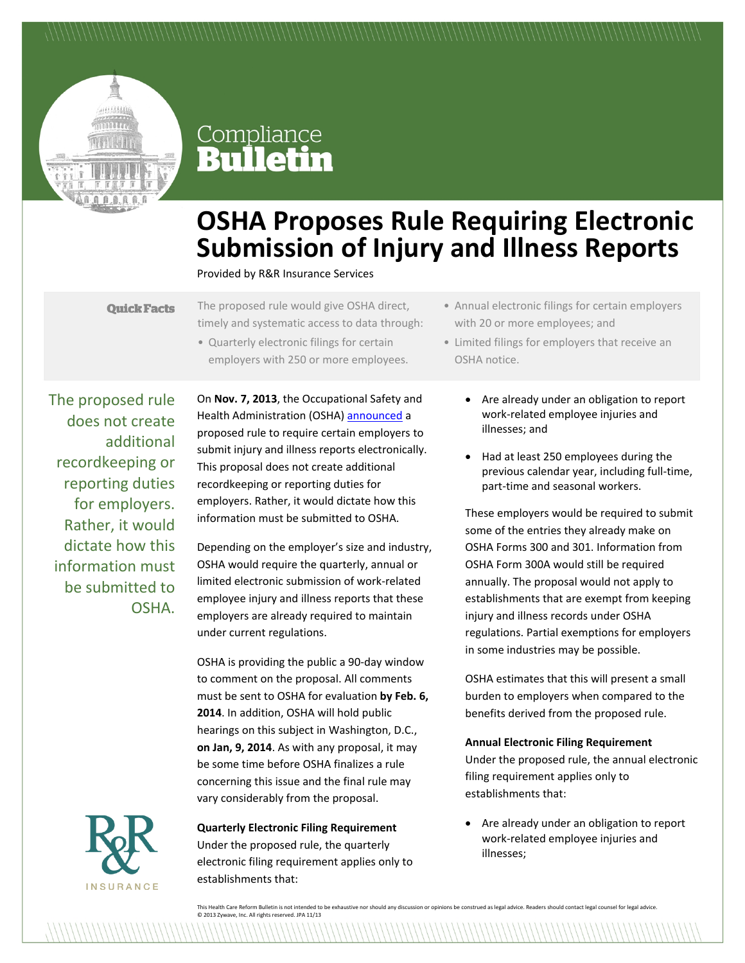

# Compliance<br>**Bulletin**

# **OSHA Proposes Rule Requiring Electronic Submission of Injury and Illness Reports**

Provided by R&R Insurance Services

**Quick Facts** 

The proposed rule would give OSHA direct, timely and systematic access to data through:

• Quarterly electronic filings for certain employers with 250 or more employees.

The proposed rule does not create additional recordkeeping or reporting duties for employers. Rather, it would dictate how this information must be submitted to OSHA.

On **Nov. 7, 2013**, the Occupational Safety and Health Administration (OSHA) [announced](https://www.osha.gov/pls/oshaweb/owadisp.show_document?p_table=NEWS_RELEASES&p_id=25047) a proposed rule to require certain employers to submit injury and illness reports electronically. This proposal does not create additional recordkeeping or reporting duties for employers. Rather, it would dictate how this information must be submitted to OSHA.

Depending on the employer's size and industry, OSHA would require the quarterly, annual or limited electronic submission of work-related employee injury and illness reports that these employers are already required to maintain under current regulations.

OSHA is providing the public a 90-day window to comment on the proposal. All comments must be sent to OSHA for evaluation **by Feb. 6, 2014**. In addition, OSHA will hold public hearings on this subject in Washington, D.C., **on Jan, 9, 2014**. As with any proposal, it may be some time before OSHA finalizes a rule concerning this issue and the final rule may vary considerably from the proposal.



**Quarterly Electronic Filing Requirement** Under the proposed rule, the quarterly electronic filing requirement applies only to establishments that:

- Annual electronic filings for certain employers with 20 or more employees; and
- Limited filings for employers that receive an OSHA notice.
	- Are already under an obligation to report work-related employee injuries and illnesses; and
	- Had at least 250 employees during the previous calendar year, including full-time, part-time and seasonal workers.

These employers would be required to submit some of the entries they already make on OSHA Forms 300 and 301. Information from OSHA Form 300A would still be required annually. The proposal would not apply to establishments that are exempt from keeping injury and illness records under OSHA regulations. Partial exemptions for employers in some industries may be possible.

OSHA estimates that this will present a small burden to employers when compared to the benefits derived from the proposed rule.

#### **Annual Electronic Filing Requirement**

Under the proposed rule, the annual electronic filing requirement applies only to establishments that:

 Are already under an obligation to report work-related employee injuries and illnesses;

This Health Care Reform Bulletin is not intended to be exhaustive nor should any discussion or opinions be construed as legal advice. Readers should contact legal counsel for legal advice. © 2013 Zywave, Inc. All rights reserved. JPA 11/13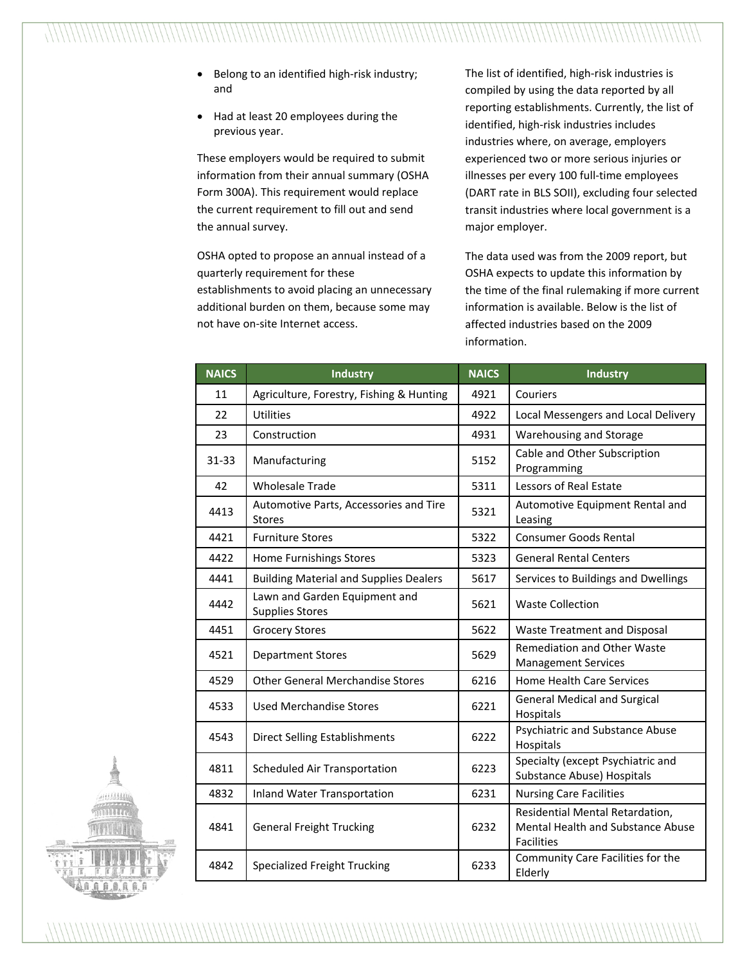- Belong to an identified high-risk industry; and
- Had at least 20 employees during the previous year.

These employers would be required to submit information from their annual summary (OSHA Form 300A). This requirement would replace the current requirement to fill out and send the annual survey.

OSHA opted to propose an annual instead of a quarterly requirement for these establishments to avoid placing an unnecessary additional burden on them, because some may not have on-site Internet access.

The list of identified, high-risk industries is compiled by using the data reported by all reporting establishments. Currently, the list of identified, high-risk industries includes industries where, on average, employers experienced two or more serious injuries or illnesses per every 100 full-time employees (DART rate in BLS SOII), excluding four selected transit industries where local government is a major employer.

The data used was from the 2009 report, but OSHA expects to update this information by the time of the final rulemaking if more current information is available. Below is the list of affected industries based on the 2009 information.

| <b>NAICS</b> | <b>Industry</b>                                         | <b>NAICS</b> | Industry                                                                                  |
|--------------|---------------------------------------------------------|--------------|-------------------------------------------------------------------------------------------|
| 11           | Agriculture, Forestry, Fishing & Hunting                | 4921         | Couriers                                                                                  |
| 22           | <b>Utilities</b>                                        | 4922         | Local Messengers and Local Delivery                                                       |
| 23           | Construction                                            | 4931         | Warehousing and Storage                                                                   |
| $31 - 33$    | Manufacturing                                           | 5152         | Cable and Other Subscription<br>Programming                                               |
| 42           | <b>Wholesale Trade</b>                                  | 5311         | Lessors of Real Estate                                                                    |
| 4413         | Automotive Parts, Accessories and Tire<br><b>Stores</b> | 5321         | Automotive Equipment Rental and<br>Leasing                                                |
| 4421         | <b>Furniture Stores</b>                                 | 5322         | <b>Consumer Goods Rental</b>                                                              |
| 4422         | Home Furnishings Stores                                 | 5323         | <b>General Rental Centers</b>                                                             |
| 4441         | <b>Building Material and Supplies Dealers</b>           | 5617         | Services to Buildings and Dwellings                                                       |
| 4442         | Lawn and Garden Equipment and<br><b>Supplies Stores</b> | 5621         | <b>Waste Collection</b>                                                                   |
| 4451         | <b>Grocery Stores</b>                                   | 5622         | Waste Treatment and Disposal                                                              |
| 4521         | <b>Department Stores</b>                                | 5629         | Remediation and Other Waste<br><b>Management Services</b>                                 |
| 4529         | <b>Other General Merchandise Stores</b>                 | 6216         | Home Health Care Services                                                                 |
| 4533         | <b>Used Merchandise Stores</b>                          | 6221         | <b>General Medical and Surgical</b><br>Hospitals                                          |
| 4543         | <b>Direct Selling Establishments</b>                    | 6222         | Psychiatric and Substance Abuse<br>Hospitals                                              |
| 4811         | Scheduled Air Transportation                            | 6223         | Specialty (except Psychiatric and<br>Substance Abuse) Hospitals                           |
| 4832         | <b>Inland Water Transportation</b>                      | 6231         | <b>Nursing Care Facilities</b>                                                            |
| 4841         | <b>General Freight Trucking</b>                         | 6232         | Residential Mental Retardation,<br>Mental Health and Substance Abuse<br><b>Facilities</b> |
| 4842         | <b>Specialized Freight Trucking</b>                     | 6233         | Community Care Facilities for the<br>Elderly                                              |

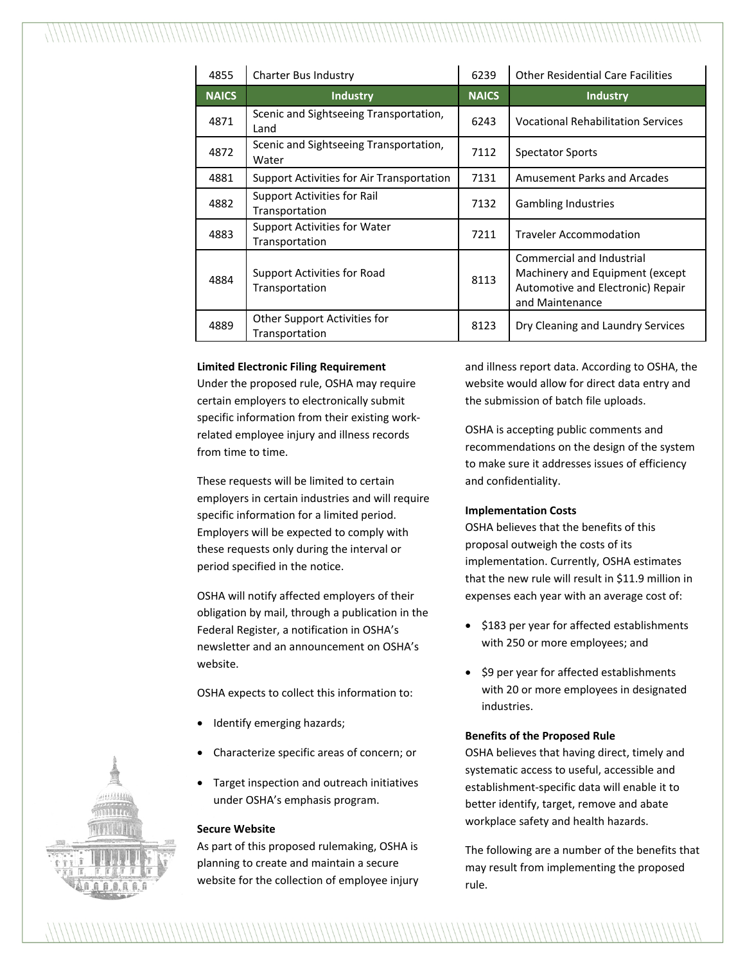| 4855         | Charter Bus Industry                            | 6239         | <b>Other Residential Care Facilities</b>                                                                                     |
|--------------|-------------------------------------------------|--------------|------------------------------------------------------------------------------------------------------------------------------|
| <b>NAICS</b> | <b>Industry</b>                                 | <b>NAICS</b> | <b>Industry</b>                                                                                                              |
| 4871         | Scenic and Sightseeing Transportation,<br>Land  | 6243         | <b>Vocational Rehabilitation Services</b>                                                                                    |
| 4872         | Scenic and Sightseeing Transportation,<br>Water | 7112         | <b>Spectator Sports</b>                                                                                                      |
| 4881         | Support Activities for Air Transportation       | 7131         | <b>Amusement Parks and Arcades</b>                                                                                           |
| 4882         | Support Activities for Rail<br>Transportation   | 7132         | <b>Gambling Industries</b>                                                                                                   |
| 4883         | Support Activities for Water<br>Transportation  | 7211         | <b>Traveler Accommodation</b>                                                                                                |
| 4884         | Support Activities for Road<br>Transportation   | 8113         | <b>Commercial and Industrial</b><br>Machinery and Equipment (except)<br>Automotive and Electronic) Repair<br>and Maintenance |
| 4889         | Other Support Activities for<br>Transportation  | 8123         | Dry Cleaning and Laundry Services                                                                                            |

### **Limited Electronic Filing Requirement**

Under the proposed rule, OSHA may require certain employers to electronically submit specific information from their existing workrelated employee injury and illness records from time to time.

These requests will be limited to certain employers in certain industries and will require specific information for a limited period. Employers will be expected to comply with these requests only during the interval or period specified in the notice.

OSHA will notify affected employers of their obligation by mail, through a publication in the Federal Register, a notification in OSHA's newsletter and an announcement on OSHA's website.

OSHA expects to collect this information to:

- Identify emerging hazards;
- Characterize specific areas of concern; or
- Target inspection and outreach initiatives under OSHA's emphasis program.

#### **Secure Website**

As part of this proposed rulemaking, OSHA is planning to create and maintain a secure website for the collection of employee injury and illness report data. According to OSHA, the website would allow for direct data entry and the submission of batch file uploads.

OSHA is accepting public comments and recommendations on the design of the system to make sure it addresses issues of efficiency and confidentiality.

#### **Implementation Costs**

OSHA believes that the benefits of this proposal outweigh the costs of its implementation. Currently, OSHA estimates that the new rule will result in \$11.9 million in expenses each year with an average cost of:

- \$183 per year for affected establishments with 250 or more employees; and
- \$9 per year for affected establishments with 20 or more employees in designated industries.

#### **Benefits of the Proposed Rule**

OSHA believes that having direct, timely and systematic access to useful, accessible and establishment-specific data will enable it to better identify, target, remove and abate workplace safety and health hazards.

The following are a number of the benefits that may result from implementing the proposed rule.